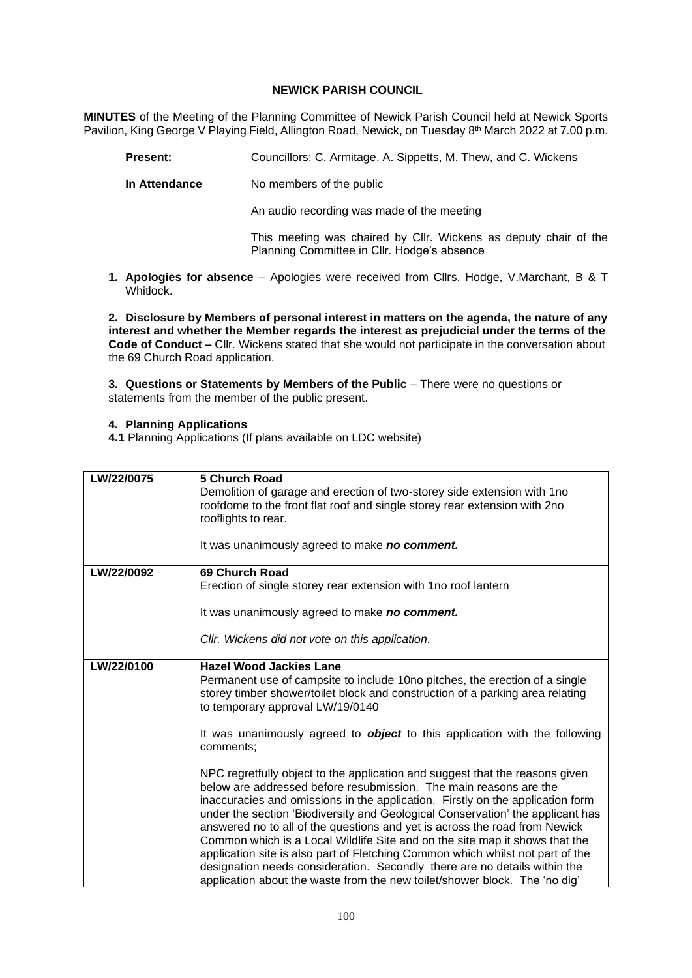## **NEWICK PARISH COUNCIL**

**MINUTES** of the Meeting of the Planning Committee of Newick Parish Council held at Newick Sports Pavilion, King George V Playing Field, Allington Road, Newick, on Tuesday 8<sup>th</sup> March 2022 at 7.00 p.m.

- **Present:** Councillors: C. Armitage, A. Sippetts, M. Thew, and C. Wickens
- **In Attendance** No members of the public

An audio recording was made of the meeting

This meeting was chaired by Cllr. Wickens as deputy chair of the Planning Committee in Cllr. Hodge's absence

**1. Apologies for absence** – Apologies were received from Cllrs. Hodge, V.Marchant, B & T Whitlock.

**2. Disclosure by Members of personal interest in matters on the agenda, the nature of any interest and whether the Member regards the interest as prejudicial under the terms of the Code of Conduct –** Cllr. Wickens stated that she would not participate in the conversation about the 69 Church Road application.

**3. Questions or Statements by Members of the Public – There were no questions or** statements from the member of the public present.

## **4. Planning Applications**

**4.1** Planning Applications (If plans available on LDC website)

| LW/22/0075 | 5 Church Road<br>Demolition of garage and erection of two-storey side extension with 1 no<br>roofdome to the front flat roof and single storey rear extension with 2no<br>rooflights to rear.<br>It was unanimously agreed to make no comment.                                                                                                                                                                                                                                                                                                                                                                                                                                                                                  |
|------------|---------------------------------------------------------------------------------------------------------------------------------------------------------------------------------------------------------------------------------------------------------------------------------------------------------------------------------------------------------------------------------------------------------------------------------------------------------------------------------------------------------------------------------------------------------------------------------------------------------------------------------------------------------------------------------------------------------------------------------|
| LW/22/0092 | 69 Church Road                                                                                                                                                                                                                                                                                                                                                                                                                                                                                                                                                                                                                                                                                                                  |
|            | Erection of single storey rear extension with 1no roof lantern                                                                                                                                                                                                                                                                                                                                                                                                                                                                                                                                                                                                                                                                  |
|            | It was unanimously agreed to make no comment.                                                                                                                                                                                                                                                                                                                                                                                                                                                                                                                                                                                                                                                                                   |
|            | CIIr. Wickens did not vote on this application.                                                                                                                                                                                                                                                                                                                                                                                                                                                                                                                                                                                                                                                                                 |
| LW/22/0100 | <b>Hazel Wood Jackies Lane</b>                                                                                                                                                                                                                                                                                                                                                                                                                                                                                                                                                                                                                                                                                                  |
|            | Permanent use of campsite to include 10no pitches, the erection of a single<br>storey timber shower/toilet block and construction of a parking area relating<br>to temporary approval LW/19/0140                                                                                                                                                                                                                                                                                                                                                                                                                                                                                                                                |
|            | It was unanimously agreed to <b>object</b> to this application with the following<br>comments;                                                                                                                                                                                                                                                                                                                                                                                                                                                                                                                                                                                                                                  |
|            | NPC regretfully object to the application and suggest that the reasons given<br>below are addressed before resubmission. The main reasons are the<br>inaccuracies and omissions in the application. Firstly on the application form<br>under the section 'Biodiversity and Geological Conservation' the applicant has<br>answered no to all of the questions and yet is across the road from Newick<br>Common which is a Local Wildlife Site and on the site map it shows that the<br>application site is also part of Fletching Common which whilst not part of the<br>designation needs consideration. Secondly there are no details within the<br>application about the waste from the new toilet/shower block. The 'no dig' |